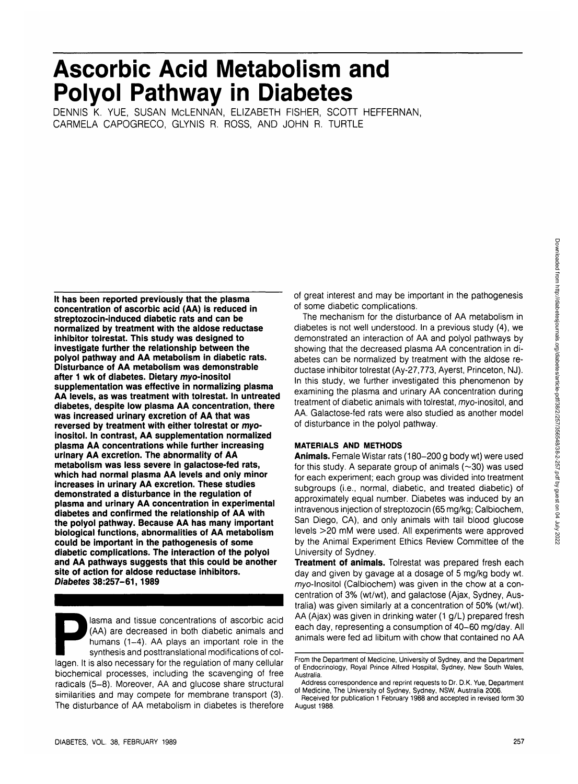# **Ascorbic Acid Metabolism and Polyol Pathway in Diabetes**

DENNIS K. YUE, SUSAN MCLENNAN, ELIZABETH FISHER, SCOTT HEFFERNAN, CARMELA CAPOGRECO, GLYNIS R. ROSS, AND JOHN R. TURTLE

**It has been reported previously that the plasma concentration of ascorbic acid (AA) is reduced in streptozocin-induced diabetic rats and can be normalized by treatment with the aldose reductase inhibitor tolrestat. This study was designed to investigate further the relationship between the polyol pathway and AA metabolism in diabetic rats. Disturbance of AA metabolism was demonstrable after 1 wk of diabetes. Dietary myo-inositol supplementation was effective in normalizing plasma AA levels, as was treatment with tolrestat. In untreated diabetes, despite low plasma AA concentration, there was increased urinary excretion of AA that was reversed by treatment with either tolrestat or myoinositol. In contrast, AA supplementation normalized plasma AA concentrations while further increasing urinary AA excretion. The abnormality of AA metabolism was less severe in galactose-fed rats, which had normal plasma AA levels and only minor increases in urinary AA excretion. These studies demonstrated a disturbance in the regulation of plasma and urinary AA concentration in experimental diabetes and confirmed the relationship of AA with the polyol pathway. Because AA has many important biological functions, abnormalities of AA metabolism could be important in the pathogenesis of some diabetic complications. The interaction of the polyol and AA pathways suggests that this could be another site of action for aldose reductase inhibitors. Diabetes 38:257-61,1989**

lasma and tissue concentrations of ascorbic acid (AA) are decreased in both diabetic animals and humans (1-4). AA plays an important role in the synthesis and posttranslational modifications of collagen. It is also necessary for the regulation of many cellular biochemical processes, including the scavenging of free radicals (5-8). Moreover, AA and glucose share structural similarities and may compete for membrane transport (3). The disturbance of AA metabolism in diabetes is therefore of great interest and may be important in the pathogenesis of some diabetic complications.

The mechanism for the disturbance of AA metabolism in diabetes is not well understood. In a previous study (4), we demonstrated an interaction of AA and polyol pathways by showing that the decreased plasma AA concentration in diabetes can be normalized by treatment with the aldose reductase inhibitor tolrestat (Ay-27,773, Ayerst, Princeton, NJ). In this study, we further investigated this phenomenon by examining the plasma and urinary AA concentration during treatment of diabetic animals with tolrestat, myo-inositol, and AA. Galactose-fed rats were also studied as another model of disturbance in the polyol pathway.

# **MATERIALS AND METHODS**

**Animals.** Female Wistar rats (180-200 g body wt) were used for this study. A separate group of animals  $(\sim 30)$  was used for each experiment; each group was divided into treatment subgroups (i.e., normal, diabetic, and treated diabetic) of approximately equal number. Diabetes was induced by an intravenous injection of streptozocin (65 mg/kg; Calbiochem, San Diego, CA), and only animals with tail blood glucose levels >20 mM were used. All experiments were approved by the Animal Experiment Ethics Review Committee of the University of Sydney.

**Treatment of animals.** Tolrestat was prepared fresh each day and given by gavage at a dosage of 5 mg/kg body wt. myo-inositol (Calbiochem) was given in the chow at a concentration of 3% (wt/wt), and galactose (Ajax, Sydney, Australia) was given similarly at a concentration of 50% (wt/wt). AA (Ajax) was given in drinking water (1 g/L) prepared fresh each day, representing a consumption of 40-60 mg/day. All animals were fed ad libitum with chow that contained no AA

From the Department of Medicine, University of Sydney, and the Department of Endocrinology, Royal Prince Alfred Hospital, Sydney, New South Wales, Australia.

Address correspondence and reprint requests to Dr. D.K. Yue, Department of Medicine, The University of Sydney, Sydney, NSW, Australia 2006.

Received for publication 1 February 1988 and accepted in revised form 30 August 1988.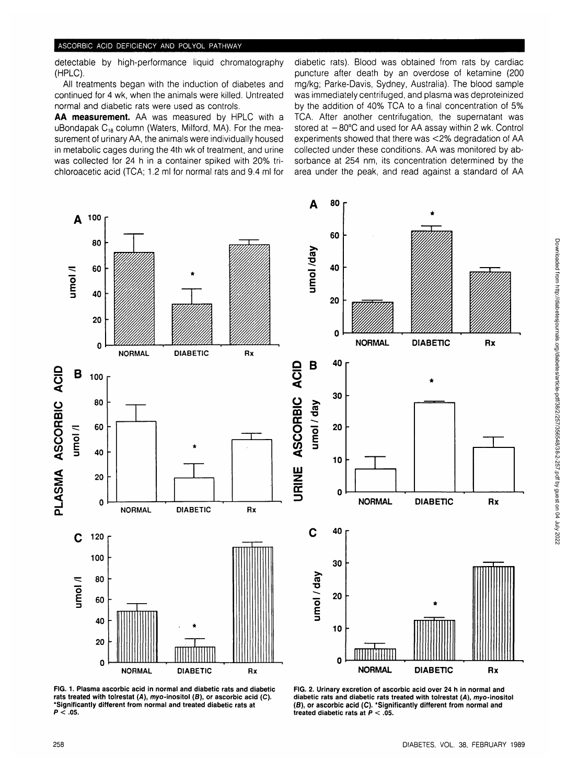detectable by high-performance liquid chromatography (HPLC).

All treatments began with the induction of diabetes and continued for 4 wk, when the animals were killed. Untreated normal and diabetic rats were used as controls.

**AA measurement.** AA was measured by HPLC with a uBondapak  $C_{18}$  column (Waters, Milford, MA). For the measurement of urinary AA, the animals were individually housed in metabolic cages during the 4th wk of treatment, and urine was collected for 24 h in a container spiked with 20% trichloroacetic acid (TCA; 1.2 ml for normal rats and 9.4 ml for

diabetic rats). Blood was obtained from rats by cardiac puncture after death by an overdose of ketamine (200 mg/kg; Parke-Davis, Sydney, Australia). The blood sample was immediately centrifuged, and plasma was deproteinized by the addition of 40% TCA to a final concentration of 5% TCA. After another centrifugation, the supernatant was stored at  $-80^{\circ}$ C and used for AA assay within 2 wk. Control experiments showed that there was <2% degradation of AA collected under these conditions. AA was monitored by absorbance at 254 nm, its concentration determined by the area under the peak, and read against a standard of AA



**FIG. 1. Plasma ascorbic acid in normal and diabetic rats and diabetic rats treated with tolrestat (A), myo-inositol (B), or ascorbic acid (C). 'Significantly different from normal and treated diabetic rats at P < .05.**

**FIG. 2. Urinary excretion of ascorbic acid over 24 h in normal and diabetic rats and diabetic rats treated with tolrestat [A), myo-inositol (8), or ascorbic acid (C). 'Significantly different from normal and treated diabetic rats at P < .05.**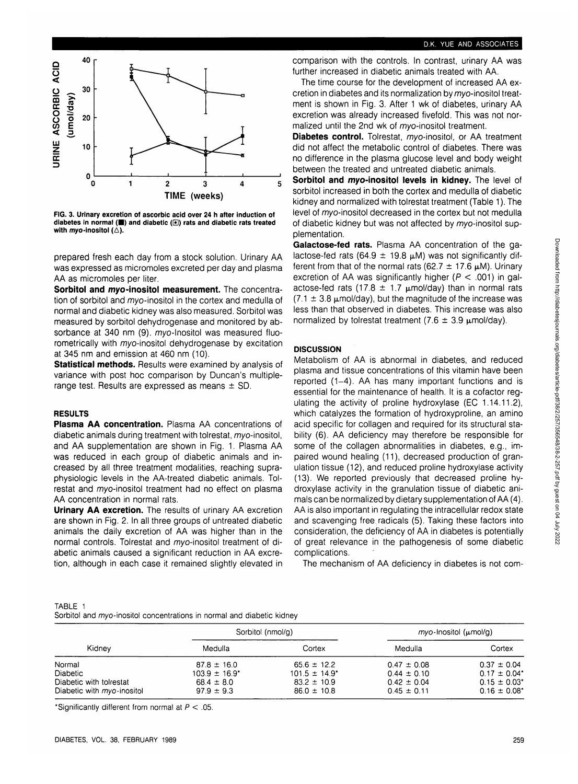

 $\mathbf{o}$ 0 1 2 3 4 : **TIME (weeks)**

**FIG. 3. Urinary excretion of ascorbic acid over 24 h after induction of** diabetes in normal (**iii**) and diabetic (**e**) rats and diabetic rats treated with myo-inositol  $(\triangle)$ .

prepared fresh each day from a stock solution. Urinary AA was expressed as micromoles excreted per day and plasma AA as micromoles per liter.

**Sorbitol and myo-inositol measurement.** The concentration of sorbitol and myo-inositol in the cortex and medulla of normal and diabetic kidney was also measured. Sorbitol was measured by sorbitol dehydrogenase and monitored by absorbance at 340 nm (9). myo-Inositol was measured fluorometrically with myo-inositol dehydrogenase by excitation at 345 nm and emission at 460 nm (10).

**Statistical methods.** Results were examined by analysis of variance with post hoc comparison by Duncan's multiplerange test. Results are expressed as means  $\pm$  SD.

## **RESULTS**

**g o**

igh<br>C

(umol/day)  $20$ 

UJ **z**

**40**

**30**

10

**Plasma AA concentration.** Plasma AA concentrations of diabetic animals during treatment with tolrestat, myo-inositol, and AA supplementation are shown in Fig. 1. Plasma AA was reduced in each group of diabetic animals and increased by all three treatment modalities, reaching supraphysiologic levels in the AA-treated diabetic animals. Tolrestat and myo-inositol treatment had no effect on plasma AA concentration in normal rats.

**Urinary AA excretion.** The results of urinary AA excretion are shown in Fig. 2. In all three groups of untreated diabetic animals the daily excretion of AA was higher than in the normal controls. Tolrestat and myo-inositol treatment of diabetic animals caused a significant reduction in AA excretion, although in each case it remained slightly elevated in comparison with the controls. In contrast, urinary AA was further increased in diabetic animals treated with AA.

The time course for the development of increased AA excretion in diabetes and its normalization by myo-inositol treatment is shown in Fig. 3. After 1 wk of diabetes, urinary AA excretion was already increased fivefold. This was not normalized until the 2nd wk of *mvo*-inositol treatment.

**Diabetes control.** Tolrestat, myo-inositol, or AA treatment did not affect the metabolic control of diabetes. There was no difference in the plasma glucose level and body weight between the treated and untreated diabetic animals.

**Sorbitol and myo-inositol levels in kidney.** The level of sorbitol increased in both the cortex and medulla of diabetic kidney and normalized with tolrestat treatment (Table 1). The level of myo-inositol decreased in the cortex but not medulla of diabetic kidney but was not affected by myo-inositol supplementation.

**Galactose-fed rats.** Plasma AA concentration of the galactose-fed rats (64.9  $\pm$  19.8  $\mu$ M) was not significantly different from that of the normal rats (62.7  $\pm$  17.6  $\mu$ M). Urinary excretion of AA was significantly higher ( $P < .001$ ) in galactose-fed rats (17.8  $\pm$  1.7  $\mu$ mol/day) than in normal rats  $(7.1 \pm 3.8 \text{ }\mu\text{mol/day})$ , but the magnitude of the increase was less than that observed in diabetes. This increase was also normalized by tolrestat treatment (7.6  $\pm$  3.9  $\mu$ mol/day).

# **DISCUSSION**

Metabolism of AA is abnormal in diabetes, and reduced plasma and tissue concentrations of this vitamin have been reported (1-4). AA has many important functions and is essential for the maintenance of health. It is a cofactor regulating the activity of proline hydroxylase (EC 1.14.11.2), which catalyzes the formation of hydroxyproline, an amino acid specific for collagen and required for its structural stability (6). AA deficiency may therefore be responsible for some of the collagen abnormalities in diabetes, e.g., impaired wound healing (11), decreased production of granulation tissue (12), and reduced proline hydroxylase activity (13). We reported previously that decreased proline hydroxylase activity in the granulation tissue of diabetic animals can be normalized by dietary supplementation of AA (4). AA is also important in regulating the intracellular redox state and scavenging free, radicals (5). Taking these factors into consideration, the deficiency of AA in diabetes is potentially of great relevance in the pathogenesis of some diabetic complications.

The mechanism of AA deficiency in diabetes is not com-

| TABLE 1 |                                                                        |  |  |
|---------|------------------------------------------------------------------------|--|--|
|         | Sorbitol and myo-inositol concentrations in normal and diabetic kidney |  |  |

| Kidnev                                                                                     | Sorbitol (nmol/g)                                                         |                                                                             | $myo$ -Inositol ( $\mu$ mol/g)                                           |                                                                                          |
|--------------------------------------------------------------------------------------------|---------------------------------------------------------------------------|-----------------------------------------------------------------------------|--------------------------------------------------------------------------|------------------------------------------------------------------------------------------|
|                                                                                            | Medulla                                                                   | Cortex                                                                      | Medulla                                                                  | Cortex                                                                                   |
| Normal<br><b>Diabetic</b><br>Diabetic with tolrestat<br>Diabetic with <i>myo</i> -inositol | $87.8 \pm 16.0$<br>$103.9 \pm 16.9^*$<br>$68.4 \pm 8.0$<br>$97.9 \pm 9.3$ | $65.6 \pm 12.2$<br>$101.5 \pm 14.9^*$<br>$83.2 \pm 10.9$<br>$86.0 \pm 10.8$ | $0.47 \pm 0.08$<br>$0.44 \pm 0.10$<br>$0.42 \pm 0.04$<br>$0.45 \pm 0.11$ | $0.37 \pm 0.04$<br>$0.17 \pm 0.04$ <sup>*</sup><br>$0.15 \pm 0.03'$<br>$0.16 \pm 0.08^*$ |

\*Significantly different from normal at  $P < .05$ .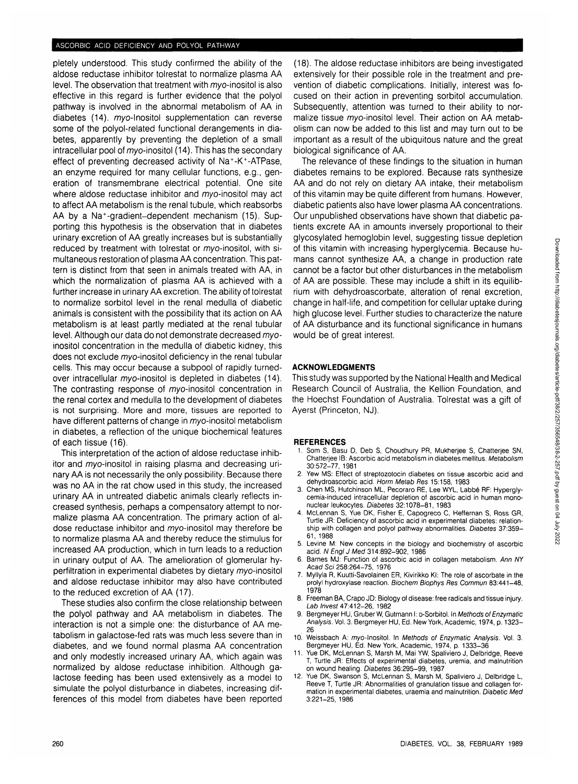pletely understood. This study confirmed the ability of the aldose reductase inhibitor tolrestat to normalize plasma AA level. The observation that treatment with myo-inositol is also effective in this regard is further evidence that the polyol pathway is involved in the abnormal metabolism of AA in diabetes (14). myo-lnositol supplementation can reverse some of the polyol-related functional derangements in diabetes, apparently by preventing the depletion of a small intracellular pool of myo-inositol (14). This has the secondary effect of preventing decreased activity of Na<sup>+</sup>-K<sup>+</sup>-ATPase. an enzyme required for many cellular functions, e.g., generation of transmembrane electrical potential. One site where aldose reductase inhibitor and myo-inositol may act to affect AA metabolism is the renal tubule, which reabsorbs AA by a Na<sup>+</sup> -gradient-dependent mechanism (15). Supporting this hypothesis is the observation that in diabetes urinary excretion of AA greatly increases but is substantially reduced by treatment with tolrestat or myo-inositol, with simultaneous restoration of plasma AA concentration. This pattern is distinct from that seen in animals treated with AA, in which the normalization of plasma AA is achieved with a further increase in urinary AA excretion. The ability of tolrestat to normalize sorbitol level in the renal medulla of diabetic animals is consistent with the possibility that its action on AA metabolism is at least partly mediated at the renal tubular level. Although our data do not demonstrate decreased myoinositol concentration in the medulla of diabetic kidney, this does not exclude myo-inositol deficiency in the renal tubular cells. This may occur because a subpool of rapidly turnedover intracellular myo-inositol is depleted in diabetes (14). The contrasting response of myo-inositol concentration in the renal cortex and medulla to the development of diabetes is not surprising. More and more, tissues are reported to have different patterns of change in myo-inositol metabolism in diabetes, a reflection of the unique biochemical features  $\alpha$  calculation  $(16)$ .

This interpretation of the action of aldose reductase inhibitor and myo-inositol in raising plasma and decreasing urinary AA is not necessarily the only possibility. Because there was no AA in the rat chow used in this study, the increased urinary AA in untreated diabetic animals clearly reflects increased synthesis, perhaps a compensatory attempt to normalize plasma AA concentration. The primary action of aldose reductase inhibitor and myo-inositol may therefore be to normalize plasma AA and thereby reduce the stimulus for increased AA production, which in turn leads to a reduction in urinary output of AA. The amelioration of glomerular hyperfiltration in experimental diabetes by dietary myo-inositol and aldose reductase inhibitor may also have contributed to the reduced excretion of AA (17).

These studies also confirm the close relationship between the polyol pathway and AA metabolism in diabetes. The interaction is not a simple one: the disturbance of AA metabolism in galactose-fed rats was much less severe than in diabetes, and we found normal plasma AA concentration and only modestly increased urinary AA, which again was normalized by aldose reductase inhibition. Although galactose feeding has been used extensively as a model to simulate the polyol disturbance in diabetes, increasing differences of this model from diabetes have been reported (18). The aldose reductase inhibitors are being investigated extensively for their possible role in the treatment and prevention of diabetic complications. Initially, interest was focused on their action in preventing sorbitol accumulation. Subsequently, attention was turned to their ability to normalize tissue myo-inositol level. Their action on AA metabolism can now be added to this list and may turn out to be important as a result of the ubiquitous nature and the great biological significance of AA.

The relevance of these findings to the situation in human diabetes remains to be explored. Because rats synthesize AA and do not rely on dietary AA intake, their metabolism of this vitamin may be quite different from humans. However, diabetic patients also have lower plasma AA concentrations. Our unpublished observations have shown that diabetic patients excrete AA in amounts inversely proportional to their glycosylated hemoglobin level, suggesting tissue depletion of this vitamin with increasing hyperglycemia. Because humans cannot synthesize AA, a change in production rate cannot be a factor but other disturbances in the metabolism of AA are possible. These may include a shift in its equilibrium with dehydroascorbate, alteration of renal excretion, change in half-life, and competition for cellular uptake during high glucose level. Further studies to characterize the nature of AA disturbance and its functional significance in humans would be of great interest.

### **ACKNOWLEDGMENTS**

This study was supported by the National Health and Medical Research Council of Australia, the Kellion Foundation, and the Hoechst Foundation of Australia. Tolrestat was a gift of Ayerst (Princeton, NJ).

#### **REFERENCES**

- Som S, Basu D, Deb S, Choudhury PR, Mukherjee S, Chatterjee SN, Chatterjee IB: Ascorbic acid metabolism in diabetes mellitus. Metabolism 30:572-77, 1981
- 2. Yew MS: Effect of streptozotocin diabetes on tissue ascorbic acid and dehydroascorbic acid. Horm Metab Res 15:158, 1983
- 3. Chen MS, Hutchinson ML, Pecoraro RE, Lee WYL, Labbe RF: Hyperglycemia-induced intracellular depletion of ascorbic acid in human mononuclear leukocytes. Diabetes 32:1078-81, 1983
- 4. McLennan S, Yue DK, Fisher E, Capogreco C, Heffeman S, Ross GR, Turtle JR: Deficiency of ascorbic acid in experimental diabetes: relationship with collagen and polyol pathway abnormalities. Diabetes 37:359- 61, 1988
- 5. Levine M: New concepts in the biology and biochemistry of ascorbic acid. N Engl J Med 314:892-902, 1986
- Barnes MJ: Function of ascorbic acid in collagen metabolism. Ann NY Acad Sci 258:264-75, 1976
- 7. Myllyla R, Kuutti-Savolainen ER, Kivirikko Kl: The role of ascorbate in the prolyl hydroxylase reaction. Biochem Biophys Res Commun 83:441-48, 1978
- 8. Freeman BA, Crapo JD: Biology of disease: free radicals and tissue injury. Lab Invest 47:412-26, 1982
- 9. Bergmeyer HU, Gruber W, Gutmann I: o-Sorbitol. In Methods of Enzymatic Analysis. Vol. 3. Bergmeyer HU, Ed. New York, Academic, 1974, p. 1323— 26
- 10. Weissbach A: myo-lnositol. In Methods of Enzymatic Analysis. Vol. 3. Bergmeyer HU, Ed. New York, Academic, 1974, p. 1333-36
- Yue DK, McLennan S, Marsh M, Mai YW, Spaliviero J, Delbridge, Reeve T, Turtle JR: Effects of experimental diabetes, uremia, and malnutrition on wound healing. Diabetes 36:295-99, 1987
- 12. Yue DK, Swanson S, McLennan S, Marsh M, Spaliviero J, Delbridge L, Reeve T, Turtle JR: Abnormalities of granulation tissue and collagen formation in experimental diabetes, uraemia and malnutrition. Diabetic Med 3:221-25, 1986